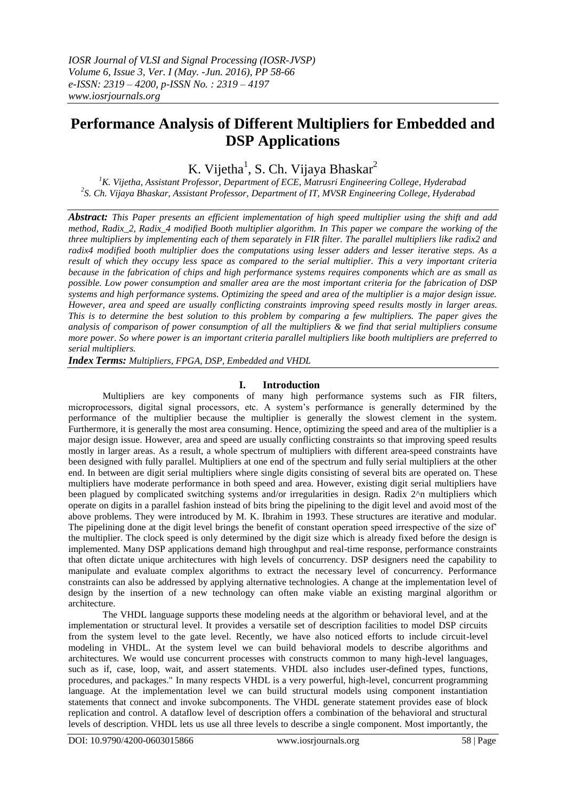# **Performance Analysis of Different Multipliers for Embedded and DSP Applications**

K. Vijetha<sup>1</sup>, S. Ch. Vijaya Bhaskar<sup>2</sup>

*<sup>1</sup>K. Vijetha, Assistant Professor, Department of ECE, Matrusri Engineering College, Hyderabad 2 S. Ch. Vijaya Bhaskar, Assistant Professor, Department of IT, MVSR Engineering College, Hyderabad*

*Abstract: This Paper presents an efficient implementation of high speed multiplier using the shift and add method, Radix\_2, Radix\_4 modified Booth multiplier algorithm. In This paper we compare the working of the three multipliers by implementing each of them separately in FIR filter. The parallel multipliers like radix2 and radix4 modified booth multiplier does the computations using lesser adders and lesser iterative steps. As a result of which they occupy less space as compared to the serial multiplier. This a very important criteria because in the fabrication of chips and high performance systems requires components which are as small as possible. Low power consumption and smaller area are the most important criteria for the fabrication of DSP systems and high performance systems. Optimizing the speed and area of the multiplier is a major design issue. However, area and speed are usually conflicting constraints improving speed results mostly in larger areas. This is to determine the best solution to this problem by comparing a few multipliers. The paper gives the analysis of comparison of power consumption of all the multipliers & we find that serial multipliers consume more power. So where power is an important criteria parallel multipliers like booth multipliers are preferred to serial multipliers.* 

*Index Terms: Multipliers, FPGA, DSP, Embedded and VHDL*

## **I. Introduction**

Multipliers are key components of many high performance systems such as FIR filters, microprocessors, digital signal processors, etc. A system's performance is generally determined by the performance of the multiplier because the multiplier is generally the slowest clement in the system. Furthermore, it is generally the most area consuming. Hence, optimizing the speed and area of the multiplier is a major design issue. However, area and speed are usually conflicting constraints so that improving speed results mostly in larger areas. As a result, a whole spectrum of multipliers with different area-speed constraints have been designed with fully parallel. Multipliers at one end of the spectrum and fully serial multipliers at the other end. In between are digit serial multipliers where single digits consisting of several bits are operated on. These multipliers have moderate performance in both speed and area. However, existing digit serial multipliers have been plagued by complicated switching systems and/or irregularities in design. Radix 2^n multipliers which operate on digits in a parallel fashion instead of bits bring the pipelining to the digit level and avoid most of the above problems. They were introduced by M. K. Ibrahim in 1993. These structures are iterative and modular. The pipelining done at the digit level brings the benefit of constant operation speed irrespective of the size of' the multiplier. The clock speed is only determined by the digit size which is already fixed before the design is implemented. Many DSP applications demand high throughput and real-time response, performance constraints that often dictate unique architectures with high levels of concurrency. DSP designers need the capability to manipulate and evaluate complex algorithms to extract the necessary level of concurrency. Performance constraints can also be addressed by applying alternative technologies. A change at the implementation level of design by the insertion of a new technology can often make viable an existing marginal algorithm or architecture.

The VHDL language supports these modeling needs at the algorithm or behavioral level, and at the implementation or structural level. It provides a versatile set of description facilities to model DSP circuits from the system level to the gate level. Recently, we have also noticed efforts to include circuit-level modeling in VHDL. At the system level we can build behavioral models to describe algorithms and architectures. We would use concurrent processes with constructs common to many high-level languages, such as if, case, loop, wait, and assert statements. VHDL also includes user-defined types, functions, procedures, and packages." In many respects VHDL is a very powerful, high-level, concurrent programming language. At the implementation level we can build structural models using component instantiation statements that connect and invoke subcomponents. The VHDL generate statement provides ease of block replication and control. A dataflow level of description offers a combination of the behavioral and structural levels of description. VHDL lets us use all three levels to describe a single component. Most importantly, the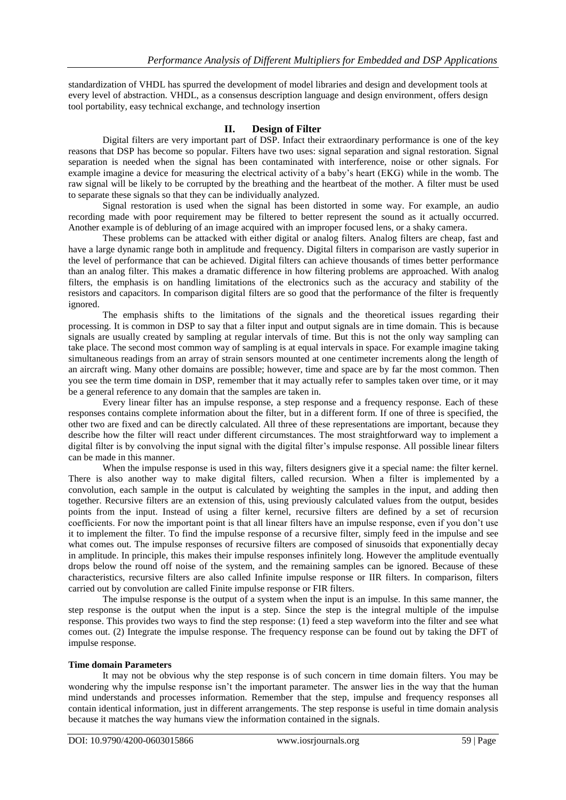standardization of VHDL has spurred the development of model libraries and design and development tools at every level of abstraction. VHDL, as a consensus description language and design environment, offers design tool portability, easy technical exchange, and technology insertion

# **II. Design of Filter**

Digital filters are very important part of DSP. Infact their extraordinary performance is one of the key reasons that DSP has become so popular. Filters have two uses: signal separation and signal restoration. Signal separation is needed when the signal has been contaminated with interference, noise or other signals. For example imagine a device for measuring the electrical activity of a baby's heart (EKG) while in the womb. The raw signal will be likely to be corrupted by the breathing and the heartbeat of the mother. A filter must be used to separate these signals so that they can be individually analyzed.

Signal restoration is used when the signal has been distorted in some way. For example, an audio recording made with poor requirement may be filtered to better represent the sound as it actually occurred. Another example is of debluring of an image acquired with an improper focused lens, or a shaky camera.

These problems can be attacked with either digital or analog filters. Analog filters are cheap, fast and have a large dynamic range both in amplitude and frequency. Digital filters in comparison are vastly superior in the level of performance that can be achieved. Digital filters can achieve thousands of times better performance than an analog filter. This makes a dramatic difference in how filtering problems are approached. With analog filters, the emphasis is on handling limitations of the electronics such as the accuracy and stability of the resistors and capacitors. In comparison digital filters are so good that the performance of the filter is frequently ignored.

The emphasis shifts to the limitations of the signals and the theoretical issues regarding their processing. It is common in DSP to say that a filter input and output signals are in time domain. This is because signals are usually created by sampling at regular intervals of time. But this is not the only way sampling can take place. The second most common way of sampling is at equal intervals in space. For example imagine taking simultaneous readings from an array of strain sensors mounted at one centimeter increments along the length of an aircraft wing. Many other domains are possible; however, time and space are by far the most common. Then you see the term time domain in DSP, remember that it may actually refer to samples taken over time, or it may be a general reference to any domain that the samples are taken in.

Every linear filter has an impulse response, a step response and a frequency response. Each of these responses contains complete information about the filter, but in a different form. If one of three is specified, the other two are fixed and can be directly calculated. All three of these representations are important, because they describe how the filter will react under different circumstances. The most straightforward way to implement a digital filter is by convolving the input signal with the digital filter's impulse response. All possible linear filters can be made in this manner.

When the impulse response is used in this way, filters designers give it a special name: the filter kernel. There is also another way to make digital filters, called recursion. When a filter is implemented by a convolution, each sample in the output is calculated by weighting the samples in the input, and adding then together. Recursive filters are an extension of this, using previously calculated values from the output, besides points from the input. Instead of using a filter kernel, recursive filters are defined by a set of recursion coefficients. For now the important point is that all linear filters have an impulse response, even if you don't use it to implement the filter. To find the impulse response of a recursive filter, simply feed in the impulse and see what comes out. The impulse responses of recursive filters are composed of sinusoids that exponentially decay in amplitude. In principle, this makes their impulse responses infinitely long. However the amplitude eventually drops below the round off noise of the system, and the remaining samples can be ignored. Because of these characteristics, recursive filters are also called Infinite impulse response or IIR filters. In comparison, filters carried out by convolution are called Finite impulse response or FIR filters.

The impulse response is the output of a system when the input is an impulse. In this same manner, the step response is the output when the input is a step. Since the step is the integral multiple of the impulse response. This provides two ways to find the step response: (1) feed a step waveform into the filter and see what comes out. (2) Integrate the impulse response. The frequency response can be found out by taking the DFT of impulse response.

## **Time domain Parameters**

It may not be obvious why the step response is of such concern in time domain filters. You may be wondering why the impulse response isn't the important parameter. The answer lies in the way that the human mind understands and processes information. Remember that the step, impulse and frequency responses all contain identical information, just in different arrangements. The step response is useful in time domain analysis because it matches the way humans view the information contained in the signals.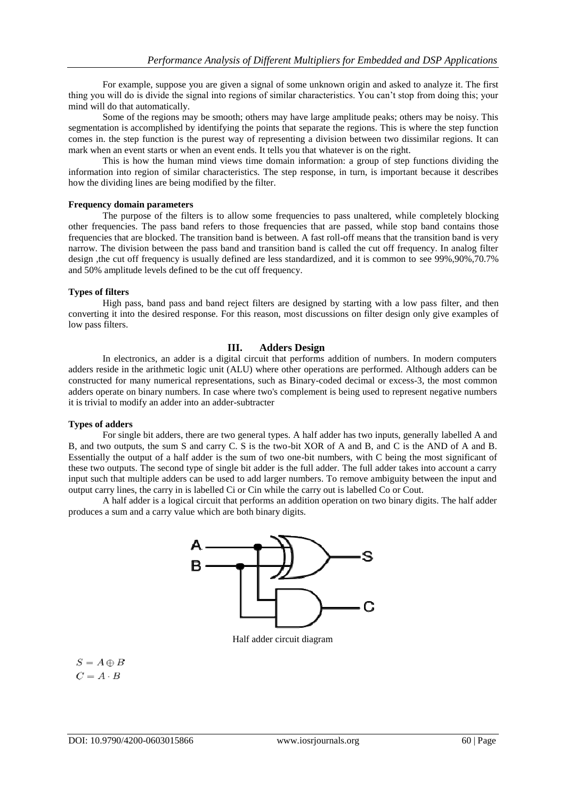For example, suppose you are given a signal of some unknown origin and asked to analyze it. The first thing you will do is divide the signal into regions of similar characteristics. You can't stop from doing this; your mind will do that automatically.

Some of the regions may be smooth; others may have large amplitude peaks; others may be noisy. This segmentation is accomplished by identifying the points that separate the regions. This is where the step function comes in. the step function is the purest way of representing a division between two dissimilar regions. It can mark when an event starts or when an event ends. It tells you that whatever is on the right.

This is how the human mind views time domain information: a group of step functions dividing the information into region of similar characteristics. The step response, in turn, is important because it describes how the dividing lines are being modified by the filter.

#### **Frequency domain parameters**

The purpose of the filters is to allow some frequencies to pass unaltered, while completely blocking other frequencies. The pass band refers to those frequencies that are passed, while stop band contains those frequencies that are blocked. The transition band is between. A fast roll-off means that the transition band is very narrow. The division between the pass band and transition band is called the cut off frequency. In analog filter design ,the cut off frequency is usually defined are less standardized, and it is common to see 99%,90%,70.7% and 50% amplitude levels defined to be the cut off frequency.

## **Types of filters**

High pass, band pass and band reject filters are designed by starting with a low pass filter, and then converting it into the desired response. For this reason, most discussions on filter design only give examples of low pass filters.

## **III. Adders Design**

In electronics, an adder is a digital circuit that performs addition of numbers. In modern computers adders reside in the arithmetic logic unit (ALU) where other operations are performed. Although adders can be constructed for many numerical representations, such as Binary-coded decimal or excess-3, the most common adders operate on binary numbers. In case where two's complement is being used to represent negative numbers it is trivial to modify an adder into an adder-subtracter

## **Types of adders**

For single bit adders, there are two general types. A half adder has two inputs, generally labelled A and B, and two outputs, the sum S and carry C. S is the two-bit XOR of A and B, and C is the AND of A and B. Essentially the output of a half adder is the sum of two one-bit numbers, with C being the most significant of these two outputs. The second type of single bit adder is the full adder. The full adder takes into account a carry input such that multiple adders can be used to add larger numbers. To remove ambiguity between the input and output carry lines, the carry in is labelled Ci or Cin while the carry out is labelled Co or Cout.

A half adder is a logical circuit that performs an addition operation on two binary digits. The half adder produces a sum and a carry value which are both binary digits.



Half adder circuit diagram

 $S = A \oplus B$  $C = A \cdot B$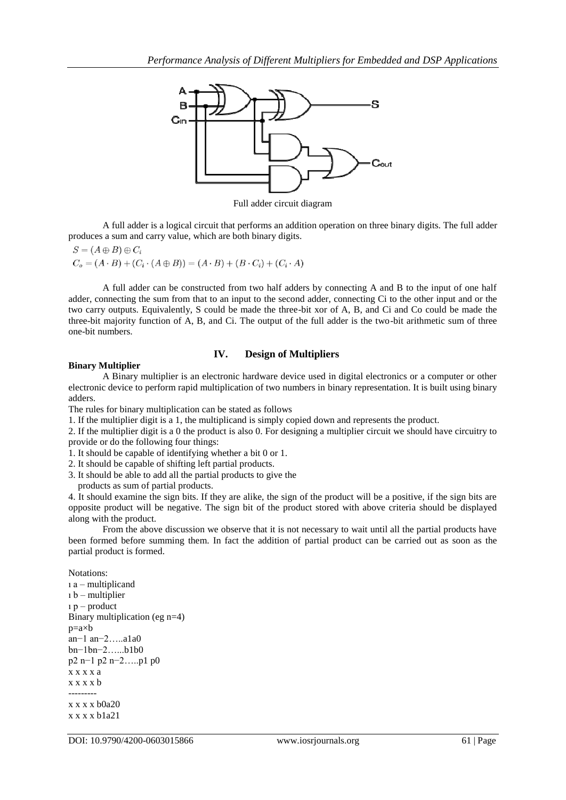

Full adder circuit diagram

A full adder is a logical circuit that performs an addition operation on three binary digits. The full adder produces a sum and carry value, which are both binary digits.

$$
S = (A \oplus B) \oplus C_i
$$
  
\n
$$
C_o = (A \cdot B) + (C_i \cdot (A \oplus B)) = (A \cdot B) + (B \cdot C_i) + (C_i \cdot A)
$$

A full adder can be constructed from two half adders by connecting A and B to the input of one half adder, connecting the sum from that to an input to the second adder, connecting Ci to the other input and or the two carry outputs. Equivalently, S could be made the three-bit xor of A, B, and Ci and Co could be made the three-bit majority function of A, B, and Ci. The output of the full adder is the two-bit arithmetic sum of three one-bit numbers.

## **IV. Design of Multipliers**

## **Binary Multiplier**

A Binary multiplier is an electronic hardware device used in digital electronics or a computer or other electronic device to perform rapid multiplication of two numbers in binary representation. It is built using binary adders.

The rules for binary multiplication can be stated as follows

1. If the multiplier digit is a 1, the multiplicand is simply copied down and represents the product.

2. If the multiplier digit is a 0 the product is also 0. For designing a multiplier circuit we should have circuitry to provide or do the following four things:

1. It should be capable of identifying whether a bit 0 or 1.

2. It should be capable of shifting left partial products.

3. It should be able to add all the partial products to give the

products as sum of partial products.

4. It should examine the sign bits. If they are alike, the sign of the product will be a positive, if the sign bits are opposite product will be negative. The sign bit of the product stored with above criteria should be displayed along with the product.

From the above discussion we observe that it is not necessary to wait until all the partial products have been formed before summing them. In fact the addition of partial product can be carried out as soon as the partial product is formed.

Notations: ı a – multiplicand ı b – multiplier ı p – product Binary multiplication (eg n=4) p=a×b an−1 an−2…..a1a0 bn−1bn−2…...b1b0 p2 n−1 p2 n−2…..p1 p0 x x x x a x x x x b -------- x x x x b0a20 x x x x b1a21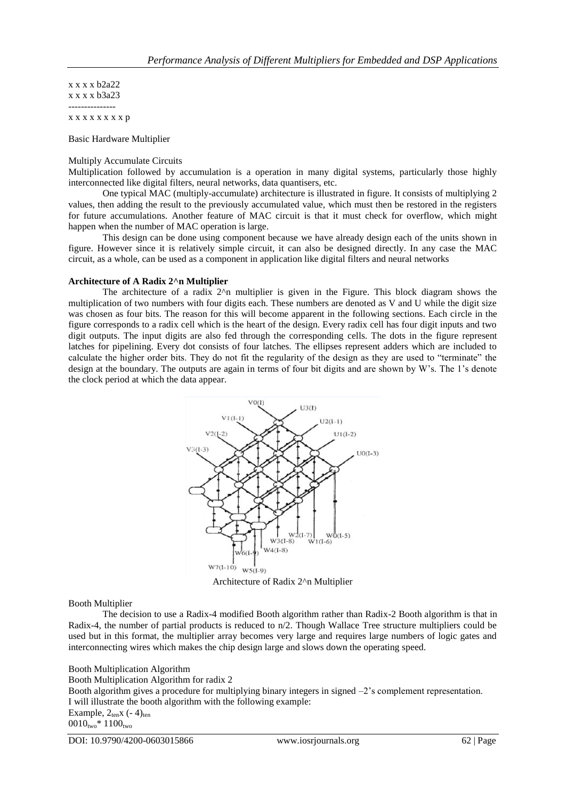x x x x b2a22 x x x x b3a23 ---------------

x x x x x x x x p

Basic Hardware Multiplier

#### Multiply Accumulate Circuits

Multiplication followed by accumulation is a operation in many digital systems, particularly those highly interconnected like digital filters, neural networks, data quantisers, etc.

One typical MAC (multiply-accumulate) architecture is illustrated in figure. It consists of multiplying 2 values, then adding the result to the previously accumulated value, which must then be restored in the registers for future accumulations. Another feature of MAC circuit is that it must check for overflow, which might happen when the number of MAC operation is large.

This design can be done using component because we have already design each of the units shown in figure. However since it is relatively simple circuit, it can also be designed directly. In any case the MAC circuit, as a whole, can be used as a component in application like digital filters and neural networks

#### **Architecture of A Radix 2^n Multiplier**

The architecture of a radix  $2<sup>4</sup>$ n multiplier is given in the Figure. This block diagram shows the multiplication of two numbers with four digits each. These numbers are denoted as V and U while the digit size was chosen as four bits. The reason for this will become apparent in the following sections. Each circle in the figure corresponds to a radix cell which is the heart of the design. Every radix cell has four digit inputs and two digit outputs. The input digits are also fed through the corresponding cells. The dots in the figure represent latches for pipelining. Every dot consists of four latches. The ellipses represent adders which are included to calculate the higher order bits. They do not fit the regularity of the design as they are used to "terminate" the design at the boundary. The outputs are again in terms of four bit digits and are shown by W's. The 1's denote the clock period at which the data appear.



Architecture of Radix 2^n Multiplier

## Booth Multiplier

The decision to use a Radix-4 modified Booth algorithm rather than Radix-2 Booth algorithm is that in Radix-4, the number of partial products is reduced to  $n/2$ . Though Wallace Tree structure multipliers could be used but in this format, the multiplier array becomes very large and requires large numbers of logic gates and interconnecting wires which makes the chip design large and slows down the operating speed.

# Booth Multiplication Algorithm

Booth Multiplication Algorithm for radix 2

Booth algorithm gives a procedure for multiplying binary integers in signed –2's complement representation. I will illustrate the booth algorithm with the following example:

Example,  $2_{ten}x$  (-4)<sub>ten</sub>  $0010_{two}$  \*  $1100_{two}$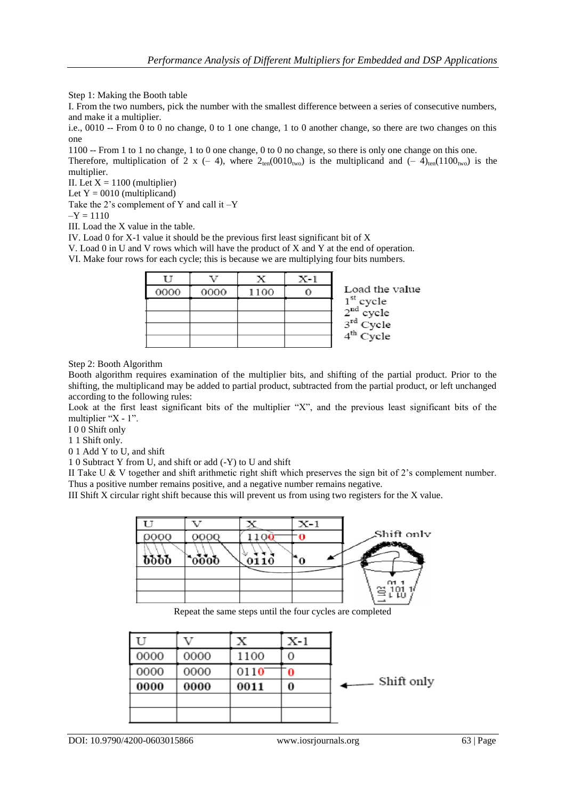Step 1: Making the Booth table

I. From the two numbers, pick the number with the smallest difference between a series of consecutive numbers, and make it a multiplier.

i.e., 0010 -- From 0 to 0 no change, 0 to 1 one change, 1 to 0 another change, so there are two changes on this one

1100 -- From 1 to 1 no change, 1 to 0 one change, 0 to 0 no change, so there is only one change on this one. Therefore, multiplication of 2 x (- 4), where  $2_{ten}(0010_{two})$  is the multiplicand and (- 4)<sub>ten</sub>(1100<sub>two</sub>) is the

multiplier. II. Let  $X = 1100$  (multiplier)

Let  $Y = 0010$  (multiplicand)

Take the 2's complement of Y and call it –Y

 $-Y = 1110$ 

III. Load the X value in the table.

IV. Load 0 for X-1 value it should be the previous first least significant bit of X

V. Load 0 in U and V rows which will have the product of X and Y at the end of operation.

VI. Make four rows for each cycle; this is because we are multiplying four bits numbers.

|      |      |      | $X-1$ |                                              |
|------|------|------|-------|----------------------------------------------|
| 0000 | 0000 | 1100 |       | Load the value                               |
|      |      |      |       | $1st cycle\n2nd cycle\n3rd Cycle\n4th Cycle$ |
|      |      |      |       |                                              |
|      |      |      |       |                                              |
|      |      |      |       |                                              |

Step 2: Booth Algorithm

Booth algorithm requires examination of the multiplier bits, and shifting of the partial product. Prior to the shifting, the multiplicand may be added to partial product, subtracted from the partial product, or left unchanged according to the following rules:

Look at the first least significant bits of the multiplier "X", and the previous least significant bits of the multiplier "X - 1".

I 0 0 Shift only

1 1 Shift only.

0 1 Add Y to U, and shift

1 0 Subtract Y from U, and shift or add (-Y) to U and shift

II Take U & V together and shift arithmetic right shift which preserves the sign bit of 2's complement number. Thus a positive number remains positive, and a negative number remains negative.

III Shift X circular right shift because this will prevent us from using two registers for the X value.



Repeat the same steps until the four cycles are completed

|      |      |      | X-1 |              |
|------|------|------|-----|--------------|
| 0000 | 0000 | 1100 | O   |              |
| 0000 | 0000 | 0110 | 0   |              |
| 0000 | 0000 | 0011 | 0   | . Shift only |
|      |      |      |     |              |
|      |      |      |     |              |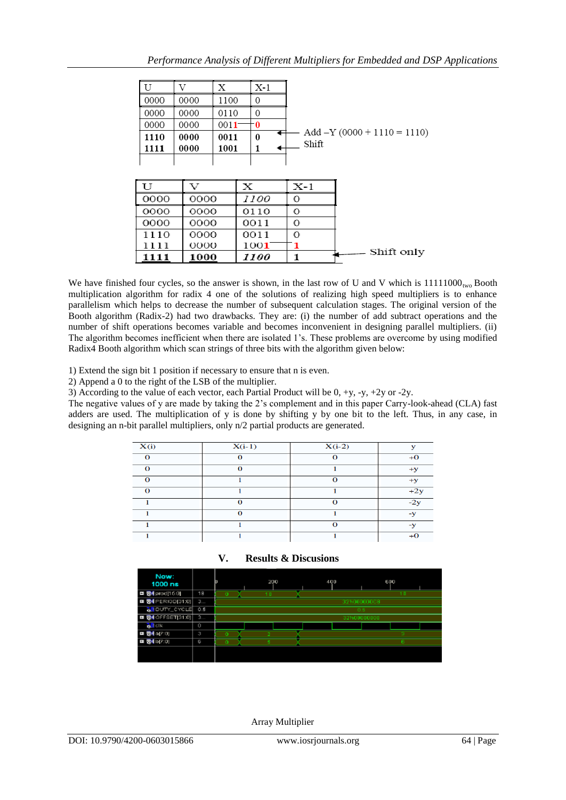|      |      | х        | X-1 |                               |
|------|------|----------|-----|-------------------------------|
| 0000 | 0000 | 1100     | 0   |                               |
| 0000 | 0000 | 0110     | 0   |                               |
| 0000 | 0000 | $0011 -$ | -0  |                               |
| 1110 | 0000 | 0011     | 0   | $Add -Y (0000 + 1110 = 1110)$ |
| 1111 | 0000 | 1001     |     | Shift                         |
|      |      |          |     |                               |

| ГΤ   |      |             | X-1 |            |
|------|------|-------------|-----|------------|
| 0000 | 0000 | <i>1100</i> |     |            |
| 0000 | 0000 | 0110        |     |            |
| 0000 | 0000 | 0011        | 0   |            |
| 1110 | 0000 | 0011        | 0   |            |
| 1111 | 0000 | 1001        |     |            |
| 1111 | 1000 | <i>1100</i> |     | Shift only |

We have finished four cycles, so the answer is shown, in the last row of U and V which is  $11111000_{\text{two}}$  Booth multiplication algorithm for radix 4 one of the solutions of realizing high speed multipliers is to enhance parallelism which helps to decrease the number of subsequent calculation stages. The original version of the Booth algorithm (Radix-2) had two drawbacks. They are: (i) the number of add subtract operations and the number of shift operations becomes variable and becomes inconvenient in designing parallel multipliers. (ii) The algorithm becomes inefficient when there are isolated 1's. These problems are overcome by using modified Radix4 Booth algorithm which scan strings of three bits with the algorithm given below:

1) Extend the sign bit 1 position if necessary to ensure that n is even.

2) Append a 0 to the right of the LSB of the multiplier.

3) According to the value of each vector, each Partial Product will be  $0, +v, -v, +2v$  or -2y.

The negative values of y are made by taking the 2's complement and in this paper Carry-look-ahead (CLA) fast adders are used. The multiplication of y is done by shifting y by one bit to the left. Thus, in any case, in designing an n-bit parallel multipliers, only n/2 partial products are generated.

| X(i)     | $X(i-1)$ | $X(i-2)$ | $\mathbf{v}$ |
|----------|----------|----------|--------------|
| $\Omega$ | $\Omega$ | $\Omega$ | $+0$         |
| $\Omega$ | $\Omega$ |          | $+V$         |
| $\Omega$ |          | $\Omega$ | $+y$         |
| $\Omega$ |          |          | $+2y$        |
|          | $\Omega$ | $\Omega$ | $-2y$        |
|          | $\Omega$ |          | -v           |
|          |          |          | -v           |
|          |          |          | $+0$         |

| V. |  |  | <b>Results &amp; Discusions</b> |
|----|--|--|---------------------------------|
|----|--|--|---------------------------------|



Array Multiplier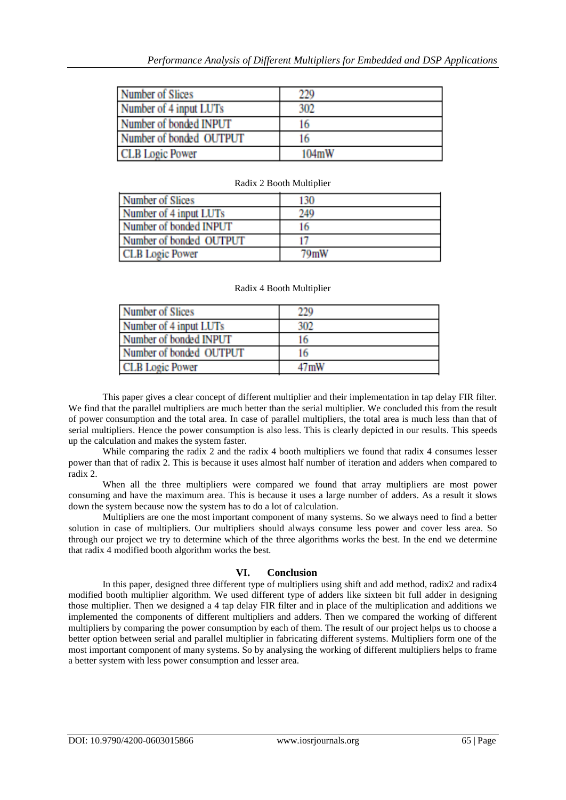| <b>Number of Slices</b> | 229   |
|-------------------------|-------|
| Number of 4 input LUTs  | 302   |
| Number of bonded INPUT  | 16    |
| Number of bonded OUTPUT | 16    |
| <b>CLB</b> Logic Power  | 104mW |

| <b>Number of Slices</b> | 130     |
|-------------------------|---------|
|                         |         |
| Number of 4 input LUTs  | 249     |
| Number of bonded INPUT  | 16      |
| Number of bonded OUTPUT |         |
| <b>CLB</b> Logic Power  | $79m$ W |

# Radix 2 Booth Multiplier

## Radix 4 Booth Multiplier

| <b>Number of Slices</b> | 229  |
|-------------------------|------|
| Number of 4 input LUTs  | 302  |
| Number of bonded INPUT  | 16   |
| Number of bonded OUTPUT | 16   |
| <b>CLB</b> Logic Power  | 47mW |

This paper gives a clear concept of different multiplier and their implementation in tap delay FIR filter. We find that the parallel multipliers are much better than the serial multiplier. We concluded this from the result of power consumption and the total area. In case of parallel multipliers, the total area is much less than that of serial multipliers. Hence the power consumption is also less. This is clearly depicted in our results. This speeds up the calculation and makes the system faster.

While comparing the radix 2 and the radix 4 booth multipliers we found that radix 4 consumes lesser power than that of radix 2. This is because it uses almost half number of iteration and adders when compared to radix 2.

When all the three multipliers were compared we found that array multipliers are most power consuming and have the maximum area. This is because it uses a large number of adders. As a result it slows down the system because now the system has to do a lot of calculation.

Multipliers are one the most important component of many systems. So we always need to find a better solution in case of multipliers. Our multipliers should always consume less power and cover less area. So through our project we try to determine which of the three algorithms works the best. In the end we determine that radix 4 modified booth algorithm works the best.

## **VI. Conclusion**

In this paper, designed three different type of multipliers using shift and add method, radix2 and radix4 modified booth multiplier algorithm. We used different type of adders like sixteen bit full adder in designing those multiplier. Then we designed a 4 tap delay FIR filter and in place of the multiplication and additions we implemented the components of different multipliers and adders. Then we compared the working of different multipliers by comparing the power consumption by each of them. The result of our project helps us to choose a better option between serial and parallel multiplier in fabricating different systems. Multipliers form one of the most important component of many systems. So by analysing the working of different multipliers helps to frame a better system with less power consumption and lesser area.